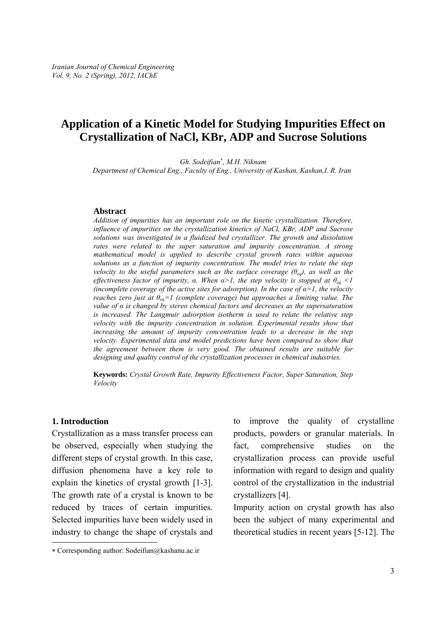# **Application of a Kinetic Model for Studying Impurities Effect on Crystallization of NaCl, KBr, ADP and Sucrose Solutions**

*Gh. Sodeifian*<sup>∗</sup> *, M.H. Niknam* 

*Department of Chemical Eng., Faculty of Eng., University of Kashan, Kashan,I. R. Iran* 

#### **Abstract**

*Addition of impurities has an important role on the kinetic crystallization. Therefore, influence of impurities on the crystallization kinetics of NaCl, KBr, ADP and Sucrose solutions was investigated in a fluidized bed crystallizer. The growth and dissolution*  rates were related to the super saturation and impurity concentration. A strong *mathematical model is applied to describe crystal growth rates within aqueous solutions as a function of impurity concentration. The model tries to relate the step velocity to the useful parameters such as the surface coverage*  $(\theta_{eq})$ *, as well as the effectiveness factor of impurity, α. When α>1, the step velocity is stopped at θeq <1 (incomplete coverage of the active sites for adsorption). In the case of*  $\alpha = 1$ *, the velocity reaches zero just at*  $\theta_{eq} = 1$  *(complete coverage) but approaches a limiting value. The value of α is changed by stereo chemical factors and decreases as the supersaturation is increased. The Langmuir adsorption isotherm is used to relate the relative step velocity with the impurity concentration in solution. Experimental results show that*  increasing the amount of impurity concentration leads to a decrease in the step *velocity. Experimental data and model predictions have been compared to show that the agreement between them is very good. The obtained results are suitable for designing and quality control of the crystallization processes in chemical industries.* 

**Keywords:** *Crystal Growth Rate, Impurity Effectiveness Factor, Super Saturation, Step Velocity* 

### **1. Introduction**

-

Crystallization as a mass transfer process can be observed, especially when studying the different steps of crystal growth. In this case, diffusion phenomena have a key role to explain the kinetics of crystal growth [1-3]. The growth rate of a crystal is known to be reduced by traces of certain impurities. Selected impurities have been widely used in industry to change the shape of crystals and to improve the quality of crystalline products, powders or granular materials. In fact, comprehensive studies on the crystallization process can provide useful information with regard to design and quality control of the crystallization in the industrial crystallizers [4].

Impurity action on crystal growth has also been the subject of many experimental and theoretical studies in recent years [5-12]. The

<sup>∗</sup> Corresponding author: Sodeifian@kashanu.ac.ir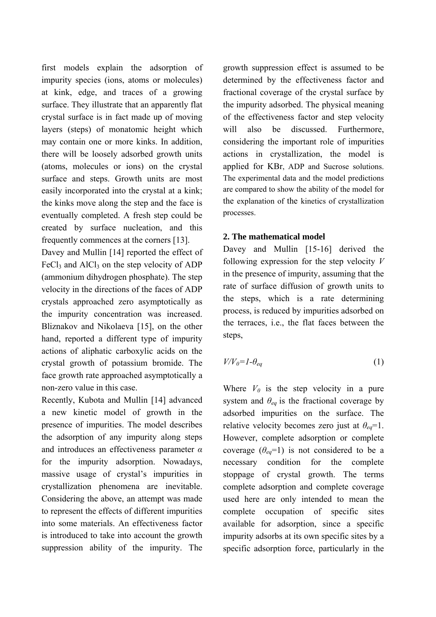first models explain the adsorption of impurity species (ions, atoms or molecules) at kink, edge, and traces of a growing surface. They illustrate that an apparently flat crystal surface is in fact made up of moving layers (steps) of monatomic height which may contain one or more kinks. In addition, there will be loosely adsorbed growth units (atoms, molecules or ions) on the crystal surface and steps. Growth units are most easily incorporated into the crystal at a kink; the kinks move along the step and the face is eventually completed. A fresh step could be created by surface nucleation, and this frequently commences at the corners [13].

Davey and Mullin [14] reported the effect of FeCl<sub>3</sub> and AlCl<sub>3</sub> on the step velocity of ADP (ammonium dihydrogen phosphate). The step velocity in the directions of the faces of ADP crystals approached zero asymptotically as the impurity concentration was increased. Bliznakov and Nikolaeva [15], on the other hand, reported a different type of impurity actions of aliphatic carboxylic acids on the crystal growth of potassium bromide. The face growth rate approached asymptotically a non-zero value in this case.

Recently, Kubota and Mullin [14] advanced a new kinetic model of growth in the presence of impurities. The model describes the adsorption of any impurity along steps and introduces an effectiveness parameter *α* for the impurity adsorption. Nowadays, massive usage of crystal's impurities in crystallization phenomena are inevitable. Considering the above, an attempt was made to represent the effects of different impurities into some materials. An effectiveness factor is introduced to take into account the growth suppression ability of the impurity. The

growth suppression effect is assumed to be determined by the effectiveness factor and fractional coverage of the crystal surface by the impurity adsorbed. The physical meaning of the effectiveness factor and step velocity will also be discussed. Furthermore, considering the important role of impurities actions in crystallization, the model is applied for KBr, ADP and Sucrose solutions. The experimental data and the model predictions are compared to show the ability of the model for the explanation of the kinetics of crystallization processes.

### **2. The mathematical model**

Davey and Mullin [15-16] derived the following expression for the step velocity *V* in the presence of impurity, assuming that the rate of surface diffusion of growth units to the steps, which is a rate determining process, is reduced by impurities adsorbed on the terraces, i.e., the flat faces between the steps,

$$
V/V_0 = I - \theta_{eq} \tag{1}
$$

Where  $V_0$  is the step velocity in a pure system and  $\theta_{eq}$  is the fractional coverage by adsorbed impurities on the surface. The relative velocity becomes zero just at *θeq*=1. However, complete adsorption or complete coverage  $(\theta_{eq}=1)$  is not considered to be a necessary condition for the complete stoppage of crystal growth. The terms complete adsorption and complete coverage used here are only intended to mean the complete occupation of specific sites available for adsorption, since a specific impurity adsorbs at its own specific sites by a specific adsorption force, particularly in the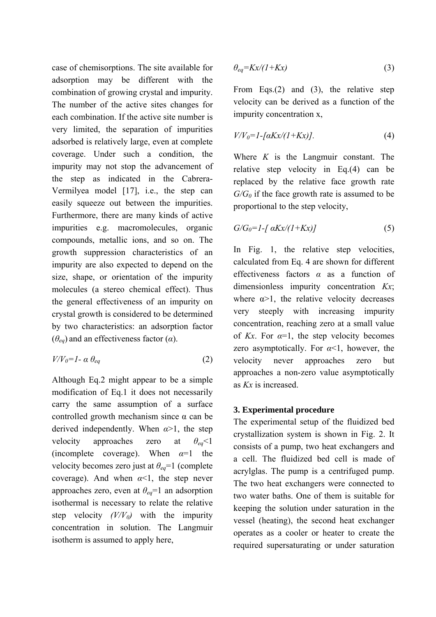case of chemisorptions. The site available for adsorption may be different with the combination of growing crystal and impurity. The number of the active sites changes for each combination. If the active site number is very limited, the separation of impurities adsorbed is relatively large, even at complete coverage. Under such a condition, the impurity may not stop the advancement of the step as indicated in the Cabrera-Vermilyea model [17], i.e., the step can easily squeeze out between the impurities. Furthermore, there are many kinds of active impurities e.g. macromolecules, organic compounds, metallic ions, and so on. The growth suppression characteristics of an impurity are also expected to depend on the size, shape, or orientation of the impurity molecules (a stereo chemical effect). Thus the general effectiveness of an impurity on crystal growth is considered to be determined by two characteristics: an adsorption factor (*θeq*) and an effectiveness factor (*α*).

$$
V/V_0 = I - \alpha \theta_{eq} \tag{2}
$$

Although Eq.2 might appear to be a simple modification of Eq.1 it does not necessarily carry the same assumption of a surface controlled growth mechanism since  $\alpha$  can be derived independently. When *α*>1, the step velocity approaches zero at *θeq*<1 (incomplete coverage). When *α*=1 the velocity becomes zero just at *θeq*=1 (complete coverage). And when  $\alpha$ <1, the step never approaches zero, even at *θeq*=1 an adsorption isothermal is necessary to relate the relative step velocity  $(V/V_0)$  with the impurity concentration in solution. The Langmuir isotherm is assumed to apply here,

$$
\theta_{eq} = Kx/(1+Kx) \tag{3}
$$

From Eqs.(2) and (3), the relative step velocity can be derived as a function of the impurity concentration x,

$$
V/V_0 = I - [\alpha Kx/(1+Kx)]. \tag{4}
$$

Where *K* is the Langmuir constant. The relative step velocity in Eq.(4) can be replaced by the relative face growth rate  $G/G_0$  if the face growth rate is assumed to be proportional to the step velocity,

$$
G/G_0=I-[\alpha Kx/(I+Kx)]\tag{5}
$$

In Fig. 1, the relative step velocities, calculated from Eq. 4 are shown for different effectiveness factors *α* as a function of dimensionless impurity concentration *Kx*; where  $\alpha > 1$ , the relative velocity decreases very steeply with increasing impurity concentration, reaching zero at a small value of  $Kx$ . For  $\alpha=1$ , the step velocity becomes zero asymptotically. For  $\alpha$ <1, however, the velocity never approaches zero but approaches a non-zero value asymptotically as *Kx* is increased.

## **3. Experimental procedure**

The experimental setup of the fluidized bed crystallization system is shown in Fig. 2. It consists of a pump, two heat exchangers and a cell. The fluidized bed cell is made of acrylglas. The pump is a centrifuged pump. The two heat exchangers were connected to two water baths. One of them is suitable for keeping the solution under saturation in the vessel (heating), the second heat exchanger operates as a cooler or heater to create the required supersaturating or under saturation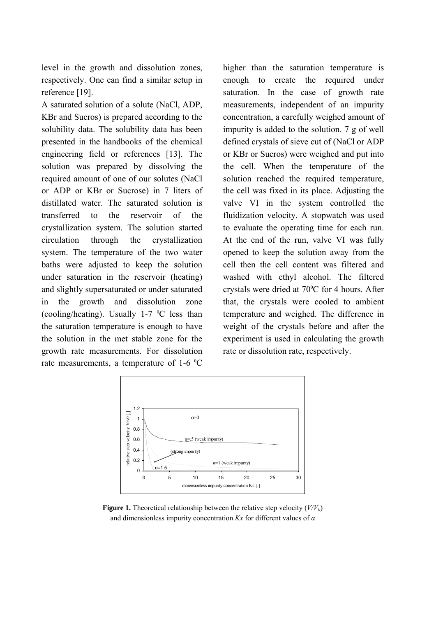level in the growth and dissolution zones, respectively. One can find a similar setup in reference [19].

A saturated solution of a solute (NaCl, ADP, KBr and Sucros) is prepared according to the solubility data. The solubility data has been presented in the handbooks of the chemical engineering field or references [13]. The solution was prepared by dissolving the required amount of one of our solutes (NaCl or ADP or KBr or Sucrose) in 7 liters of distillated water. The saturated solution is transferred to the reservoir of the crystallization system. The solution started circulation through the crystallization system. The temperature of the two water baths were adjusted to keep the solution under saturation in the reservoir (heating) and slightly supersaturated or under saturated in the growth and dissolution zone (cooling/heating). Usually  $1-7$  °C less than the saturation temperature is enough to have the solution in the met stable zone for the growth rate measurements. For dissolution rate measurements, a temperature of 1-6  $^{\circ}C$  higher than the saturation temperature is enough to create the required under saturation. In the case of growth rate measurements, independent of an impurity concentration, a carefully weighed amount of impurity is added to the solution. 7 g of well defined crystals of sieve cut of (NaCl or ADP or KBr or Sucros) were weighed and put into the cell. When the temperature of the solution reached the required temperature, the cell was fixed in its place. Adjusting the valve VI in the system controlled the fluidization velocity. A stopwatch was used to evaluate the operating time for each run. At the end of the run, valve VI was fully opened to keep the solution away from the cell then the cell content was filtered and washed with ethyl alcohol. The filtered crystals were dried at  $70^{\circ}$ C for 4 hours. After that, the crystals were cooled to ambient temperature and weighed. The difference in weight of the crystals before and after the experiment is used in calculating the growth rate or dissolution rate, respectively.



**Figure 1.** Theoretical relationship between the relative step velocity  $(V/V_0)$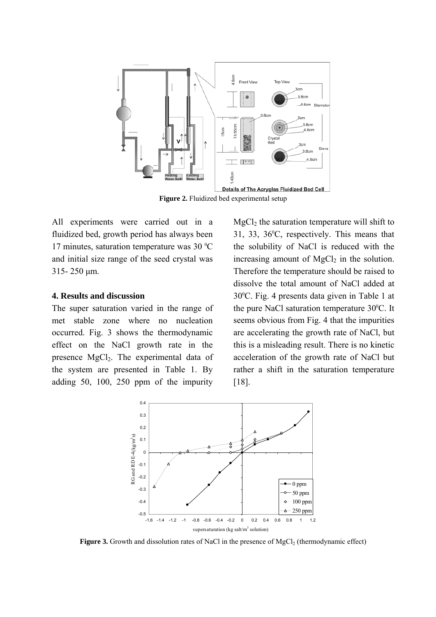

**Figure 2.** Fluidized bed experimental setup

All experiments were carried out in a fluidized bed, growth period has always been 17 minutes, saturation temperature was  $30 °C$ and initial size range of the seed crystal was 315- 250 μm.

### **4. Results and discussion**

The super saturation varied in the range of met stable zone where no nucleation occurred. Fig. 3 shows the thermodynamic effect on the NaCl growth rate in the presence MgCl<sub>2</sub>. The experimental data of the system are presented in Table 1. By adding 50, 100, 250 ppm of the impurity

 $MgCl<sub>2</sub>$  the saturation temperature will shift to  $31, 33, 36^{\circ}$ C, respectively. This means that the solubility of NaCl is reduced with the increasing amount of  $MgCl<sub>2</sub>$  in the solution. Therefore the temperature should be raised to dissolve the total amount of NaCl added at 300 C. Fig. 4 presents data given in Table 1 at the pure NaCl saturation temperature  $30^{\circ}$ C. It seems obvious from Fig. 4 that the impurities are accelerating the growth rate of NaCl, but this is a misleading result. There is no kinetic acceleration of the growth rate of NaCl but rather a shift in the saturation temperature [18].

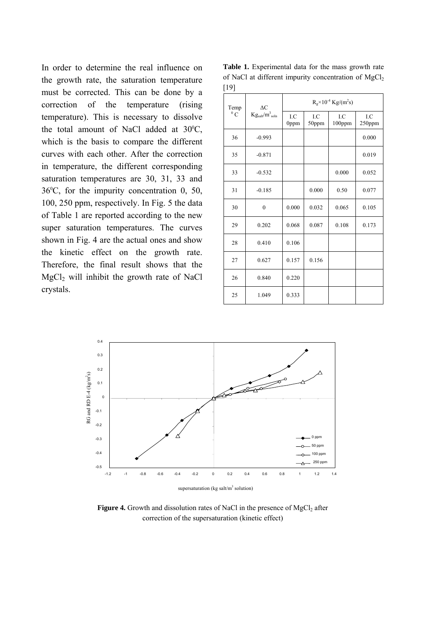In order to determine the real influence on the growth rate, the saturation temperature must be corrected. This can be done by a correction of the temperature (rising temperature). This is necessary to dissolve the total amount of NaCl added at  $30^{\circ}$ C, which is the basis to compare the different curves with each other. After the correction in temperature, the different corresponding saturation temperatures are 30, 31, 33 and  $36^{\circ}$ C, for the impurity concentration 0, 50, 100, 250 ppm, respectively. In Fig. 5 the data of Table 1 are reported according to the new super saturation temperatures. The curves shown in Fig. 4 are the actual ones and show the kinetic effect on the growth rate. Therefore, the final result shows that the MgCl2 will inhibit the growth rate of NaCl crystals.

| of Nact at different impulity concentration of MgCl <sub>2</sub><br>[19] |                                      |                                            |              |               |               |
|--------------------------------------------------------------------------|--------------------------------------|--------------------------------------------|--------------|---------------|---------------|
| Temp<br>$^0$ C                                                           | $\Delta C$<br>$Kg_{salt}/m_{soln}^3$ | $R_g \times 10^{-4}$ Kg/(m <sup>2</sup> s) |              |               |               |
|                                                                          |                                      | I.C<br>0ppm                                | I.C<br>50ppm | I.C<br>100ppm | I.C<br>250ppm |
| 36                                                                       | $-0.993$                             |                                            |              |               | 0.000         |
| 35                                                                       | $-0.871$                             |                                            |              |               | 0.019         |
| 33                                                                       | $-0.532$                             |                                            |              | 0.000         | 0.052         |
| 31                                                                       | $-0.185$                             |                                            | 0.000        | 0.50          | 0.077         |
| 30                                                                       | 0                                    | 0.000                                      | 0.032        | 0.065         | 0.105         |
|                                                                          |                                      |                                            |              |               |               |

29 0.202 0.068 0.087 0.108 0.173

28 0.410 0.106

26 0.840 0.220

25 1.049 0.333

27 0.627 0.157 0.156

**Table 1.** Experimental data for the mass growth rate of NaCl at different impurity concentration of MgCl



supersaturation (kg salt/ $m<sup>3</sup>$  solution)

**Figure 4.** Growth and dissolution rates of NaCl in the presence of  $MgCl<sub>2</sub>$  after correction of the supersaturation (kinetic effect)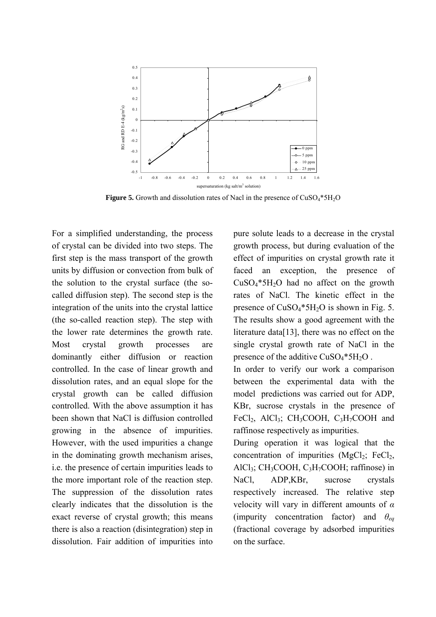

**Figure 5.** Growth and dissolution rates of Nacl in the presence of  $CuSO<sub>4</sub><sup>*</sup>5H<sub>2</sub>O$ 

For a simplified understanding, the process of crystal can be divided into two steps. The first step is the mass transport of the growth units by diffusion or convection from bulk of the solution to the crystal surface (the socalled diffusion step). The second step is the integration of the units into the crystal lattice (the so-called reaction step). The step with the lower rate determines the growth rate. Most crystal growth processes are dominantly either diffusion or reaction controlled. In the case of linear growth and dissolution rates, and an equal slope for the crystal growth can be called diffusion controlled. With the above assumption it has been shown that NaCl is diffusion controlled growing in the absence of impurities. However, with the used impurities a change in the dominating growth mechanism arises, i.e. the presence of certain impurities leads to the more important role of the reaction step. The suppression of the dissolution rates clearly indicates that the dissolution is the exact reverse of crystal growth; this means there is also a reaction (disintegration) step in dissolution. Fair addition of impurities into

pure solute leads to a decrease in the crystal growth process, but during evaluation of the effect of impurities on crystal growth rate it faced an exception, the presence of  $CuSO<sub>4</sub>*5H<sub>2</sub>O$  had no affect on the growth rates of NaCl. The kinetic effect in the presence of  $CuSO<sub>4</sub><sup>*</sup>5H<sub>2</sub>O$  is shown in Fig. 5. The results show a good agreement with the literature data[13], there was no effect on the single crystal growth rate of NaCl in the presence of the additive  $CuSO<sub>4</sub>*5H<sub>2</sub>O$ .

In order to verify our work a comparison between the experimental data with the model predictions was carried out for ADP, KBr, sucrose crystals in the presence of FeCl<sub>2</sub>, AlCl<sub>3</sub>; CH<sub>3</sub>COOH, C<sub>3</sub>H<sub>7</sub>COOH and raffinose respectively as impurities.

During operation it was logical that the concentration of impurities  $(MgCl<sub>2</sub>; FeCl<sub>2</sub>)$ , AlCl<sub>3</sub>; CH<sub>3</sub>COOH, C<sub>3</sub>H<sub>7</sub>COOH; raffinose) in NaCl, ADP,KBr, sucrose crystals respectively increased. The relative step velocity will vary in different amounts of *α* (impurity concentration factor) and *θeq* (fractional coverage by adsorbed impurities on the surface.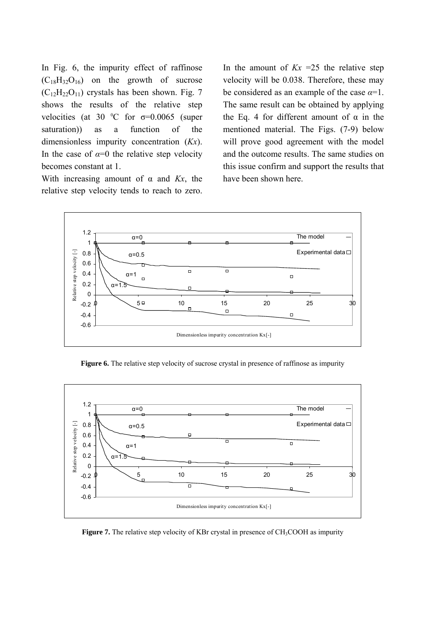In Fig. 6, the impurity effect of raffinose  $(C_{18}H_{32}O_{16})$  on the growth of sucrose  $(C_{12}H_{22}O_{11})$  crystals has been shown. Fig. 7 shows the results of the relative step velocities (at 30 °C for  $\sigma$ =0.0065 (super saturation)) as a function of the dimensionless impurity concentration (*Kx*). In the case of  $\alpha=0$  the relative step velocity becomes constant at 1.

With increasing amount of α and *Kx*, the relative step velocity tends to reach to zero.

In the amount of  $Kx = 25$  the relative step velocity will be 0.038. Therefore, these may be considered as an example of the case *α*=1. The same result can be obtained by applying the Eq. 4 for different amount of  $\alpha$  in the mentioned material. The Figs. (7-9) below will prove good agreement with the model and the outcome results. The same studies on this issue confirm and support the results that have been shown here.



**Figure 6.** The relative step velocity of sucrose crystal in presence of raffinose as impurity



**Figure 7.** The relative step velocity of KBr crystal in presence of CH<sub>3</sub>COOH as impurity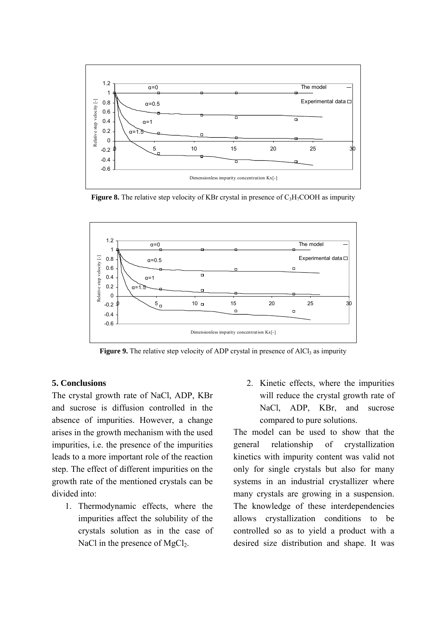

**Figure 8.** The relative step velocity of KBr crystal in presence of C<sub>3</sub>H<sub>7</sub>COOH as impurity



**Figure 9.** The relative step velocity of ADP crystal in presence of  $AICI<sub>3</sub>$  as impurity

### **5. Conclusions**

The crystal growth rate of NaCl, ADP, KBr and sucrose is diffusion controlled in the absence of impurities. However, a change arises in the growth mechanism with the used impurities, i.e. the presence of the impurities leads to a more important role of the reaction step. The effect of different impurities on the growth rate of the mentioned crystals can be divided into:

1. Thermodynamic effects, where the impurities affect the solubility of the crystals solution as in the case of NaCl in the presence of MgCl<sub>2</sub>.

2. Kinetic effects, where the impurities will reduce the crystal growth rate of NaCl, ADP, KBr, and sucrose compared to pure solutions.

The model can be used to show that the general relationship of crystallization kinetics with impurity content was valid not only for single crystals but also for many systems in an industrial crystallizer where many crystals are growing in a suspension. The knowledge of these interdependencies allows crystallization conditions to be controlled so as to yield a product with a desired size distribution and shape. It was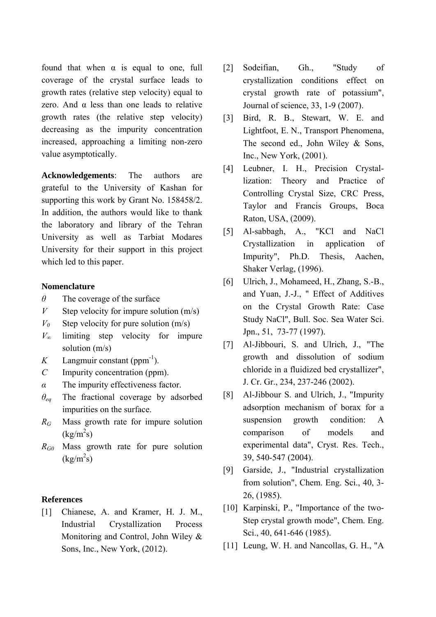found that when  $\alpha$  is equal to one, full coverage of the crystal surface leads to growth rates (relative step velocity) equal to zero. And  $\alpha$  less than one leads to relative growth rates (the relative step velocity) decreasing as the impurity concentration increased, approaching a limiting non-zero value asymptotically.

**Acknowledgements**: The authors are grateful to the University of Kashan for supporting this work by Grant No. 158458/2. In addition, the authors would like to thank the laboratory and library of the Tehran University as well as Tarbiat Modares University for their support in this project which led to this paper.

### **Nomenclature**

- *θ* The coverage of the surface
- *V* Step velocity for impure solution  $(m/s)$
- $V_0$  Step velocity for pure solution  $(m/s)$
- *V*∞ limiting step velocity for impure solution (m/s)
- *K* Langmuir constant  $(ppm^{-1})$ .
- *C* Impurity concentration (ppm).
- *α* The impurity effectiveness factor.
- *θeq* The fractional coverage by adsorbed impurities on the surface.
- *RG* Mass growth rate for impure solution  $\frac{\text{kg}}{\text{m}^2\text{s}}$
- *RG0* Mass growth rate for pure solution  $\frac{\text{kg}}{\text{m}^2\text{s}}$

### **References**

[1] Chianese, A. and Kramer, H. J. M., Industrial Crystallization Process Monitoring and Control, John Wiley & Sons, Inc., New York, (2012).

- [2] Sodeifian, Gh., "Study of crystallization conditions effect on crystal growth rate of potassium", Journal of science, 33, 1-9 (2007).
- [3] Bird, R. B., Stewart, W. E. and Lightfoot, E. N., Transport Phenomena, The second ed., John Wiley & Sons, Inc., New York, (2001).
- [4] Leubner, I. H., Precision Crystallization: Theory and Practice of Controlling Crystal Size, CRC Press, Taylor and Francis Groups, Boca Raton, USA, (2009).
- [5] Al-sabbagh, A., "KCl and NaCl Crystallization in application of Impurity", Ph.D. Thesis, Aachen, Shaker Verlag, (1996).
- [6] Ulrich, J., Mohameed, H., Zhang, S.-B., and Yuan, J.-J., " Effect of Additives on the Crystal Growth Rate: Case Study NaCl", Bull. Soc. Sea Water Sci. Jpn., 51, 73-77 (1997).
- [7] Al-Jibbouri, S. and Ulrich, J., "The growth and dissolution of sodium chloride in a fluidized bed crystallizer", J. Cr. Gr., 234, 237-246 (2002).
- [8] Al-Jibbour S. and Ulrich, J., "Impurity adsorption mechanism of borax for a suspension growth condition: A comparison of models and experimental data", Cryst. Res. Tech., 39, 540-547 (2004).
- [9] Garside, J., "Industrial crystallization from solution", Chem. Eng. Sci., 40, 3- 26, (1985).
- [10] Karpinski, P., "Importance of the two-Step crystal growth mode", Chem. Eng. Sci., 40, 641-646 (1985).
- [11] Leung, W. H. and Nancollas, G. H., "A